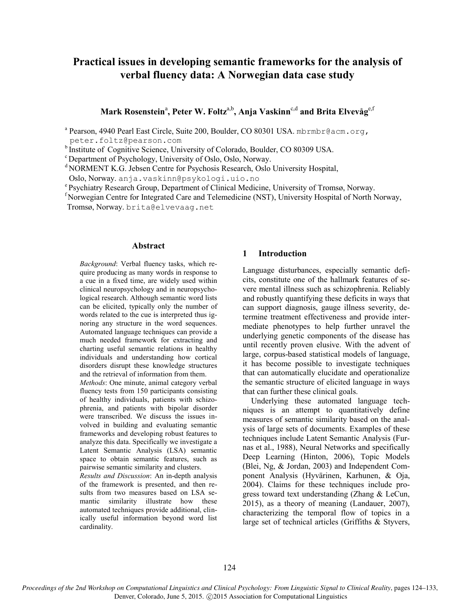# **Practical issues in developing semantic frameworks for the analysis of verbal fluency data: A Norwegian data case study**

 $\mathbf{Mark}\ \mathbf{R}$ osenstein<sup>a</sup>, Peter W. Foltz<sup>a,b</sup>, Anja Vaskinn<sup>c,d</sup> and Brita Elvevåg<sup>e,f</sup>

<sup>a</sup> Pearson, 4940 Pearl East Circle, Suite 200, Boulder, CO 80301 USA. mbrmbr@acm.org, peter.foltz@pearson.com

b<sub>Institute</sub> of Cognitive Science, University of Colorado, Boulder, CO 80309 USA.

<sup>c</sup> Department of Psychology, University of Oslo, Oslo, Norway.

<sup>d</sup> NORMENT K.G. Jebsen Centre for Psychosis Research, Oslo University Hospital,

Oslo, Norway. anja.vaskinn@psykologi.uio.no

e Psychiatry Research Group, Department of Clinical Medicine, University of Tromsø, Norway.

<sup>f</sup> Norwegian Centre for Integrated Care and Telemedicine (NST), University Hospital of North Norway,

Tromsø, Norway. brita@elvevaag.net

#### **Abstract**

*Background*: Verbal fluency tasks, which require producing as many words in response to a cue in a fixed time, are widely used within clinical neuropsychology and in neuropsychological research. Although semantic word lists can be elicited, typically only the number of words related to the cue is interpreted thus ignoring any structure in the word sequences. Automated language techniques can provide a much needed framework for extracting and charting useful semantic relations in healthy individuals and understanding how cortical disorders disrupt these knowledge structures and the retrieval of information from them.

*Methods*: One minute, animal category verbal fluency tests from 150 participants consisting of healthy individuals, patients with schizophrenia, and patients with bipolar disorder were transcribed. We discuss the issues involved in building and evaluating semantic frameworks and developing robust features to analyze this data. Specifically we investigate a Latent Semantic Analysis (LSA) semantic space to obtain semantic features, such as pairwise semantic similarity and clusters.

*Results and Discussion*: An in-depth analysis of the framework is presented, and then results from two measures based on LSA semantic similarity illustrate how these automated techniques provide additional, clinically useful information beyond word list cardinality.

# **1 Introduction**

Language disturbances, especially semantic deficits, constitute one of the hallmark features of severe mental illness such as schizophrenia. Reliably and robustly quantifying these deficits in ways that can support diagnosis, gauge illness severity, determine treatment effectiveness and provide intermediate phenotypes to help further unravel the underlying genetic components of the disease has until recently proven elusive. With the advent of large, corpus-based statistical models of language, it has become possible to investigate techniques that can automatically elucidate and operationalize the semantic structure of elicited language in ways that can further these clinical goals.

Underlying these automated language techniques is an attempt to quantitatively define measures of semantic similarity based on the analysis of large sets of documents. Examples of these techniques include Latent Semantic Analysis (Furnas et al., 1988), Neural Networks and specifically Deep Learning (Hinton, 2006), Topic Models (Blei, Ng, & Jordan, 2003) and Independent Component Analysis (Hyvärinen, Karhunen, & Oja, 2004). Claims for these techniques include progress toward text understanding (Zhang & LeCun, 2015), as a theory of meaning (Landauer, 2007), characterizing the temporal flow of topics in a large set of technical articles (Griffiths & Styvers,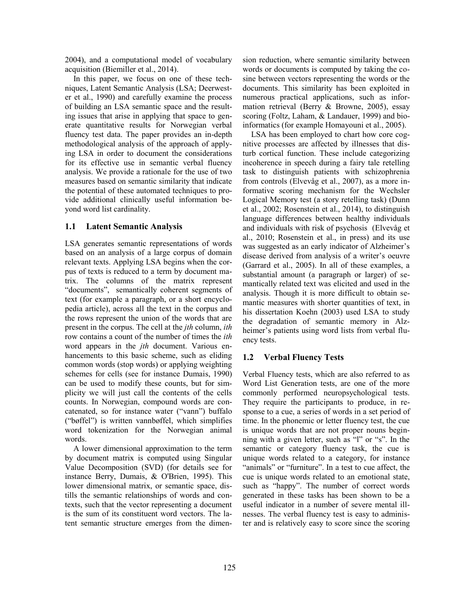2004), and a computational model of vocabulary acquisition (Biemiller et al., 2014).

In this paper, we focus on one of these techniques, Latent Semantic Analysis (LSA; Deerwester et al., 1990) and carefully examine the process of building an LSA semantic space and the resulting issues that arise in applying that space to generate quantitative results for Norwegian verbal fluency test data. The paper provides an in-depth methodological analysis of the approach of applying LSA in order to document the considerations for its effective use in semantic verbal fluency analysis. We provide a rationale for the use of two measures based on semantic similarity that indicate the potential of these automated techniques to provide additional clinically useful information beyond word list cardinality.

# **1.1 Latent Semantic Analysis**

LSA generates semantic representations of words based on an analysis of a large corpus of domain relevant texts. Applying LSA begins when the corpus of texts is reduced to a term by document matrix. The columns of the matrix represent "documents", semantically coherent segments of text (for example a paragraph, or a short encyclopedia article), across all the text in the corpus and the rows represent the union of the words that are present in the corpus. The cell at the *jth* column, *ith* row contains a count of the number of times the *ith* word appears in the *jth* document. Various enhancements to this basic scheme, such as eliding common words (stop words) or applying weighting schemes for cells (see for instance Dumais, 1990) can be used to modify these counts, but for simplicity we will just call the contents of the cells counts. In Norwegian, compound words are concatenated, so for instance water ("vann") buffalo ("bøffel") is written vannbøffel, which simplifies word tokenization for the Norwegian animal words.

A lower dimensional approximation to the term by document matrix is computed using Singular Value Decomposition (SVD) (for details see for instance Berry, Dumais, & O'Brien, 1995). This lower dimensional matrix, or semantic space, distills the semantic relationships of words and contexts, such that the vector representing a document is the sum of its constituent word vectors. The latent semantic structure emerges from the dimension reduction, where semantic similarity between words or documents is computed by taking the cosine between vectors representing the words or the documents. This similarity has been exploited in numerous practical applications, such as information retrieval (Berry & Browne, 2005), essay scoring (Foltz, Laham, & Landauer, 1999) and bioinformatics (for example Homayouni et al., 2005).

LSA has been employed to chart how core cognitive processes are affected by illnesses that disturb cortical function. These include categorizing incoherence in speech during a fairy tale retelling task to distinguish patients with schizophrenia from controls (Elvevåg et al., 2007), as a more informative scoring mechanism for the Wechsler Logical Memory test (a story retelling task) (Dunn et al., 2002; Rosenstein et al., 2014), to distinguish language differences between healthy individuals and individuals with risk of psychosis (Elvevåg et al., 2010; Rosenstein et al., in press) and its use was suggested as an early indicator of Alzheimer's disease derived from analysis of a writer's oeuvre (Garrard et al., 2005). In all of these examples, a substantial amount (a paragraph or larger) of semantically related text was elicited and used in the analysis. Though it is more difficult to obtain semantic measures with shorter quantities of text, in his dissertation Koehn (2003) used LSA to study the degradation of semantic memory in Alzheimer's patients using word lists from verbal fluency tests.

# **1.2 Verbal Fluency Tests**

Verbal Fluency tests, which are also referred to as Word List Generation tests, are one of the more commonly performed neuropsychological tests. They require the participants to produce, in response to a cue, a series of words in a set period of time. In the phonemic or letter fluency test, the cue is unique words that are not proper nouns beginning with a given letter, such as "l" or "s". In the semantic or category fluency task, the cue is unique words related to a category, for instance "animals" or "furniture". In a test to cue affect, the cue is unique words related to an emotional state, such as "happy". The number of correct words generated in these tasks has been shown to be a useful indicator in a number of severe mental illnesses. The verbal fluency test is easy to administer and is relatively easy to score since the scoring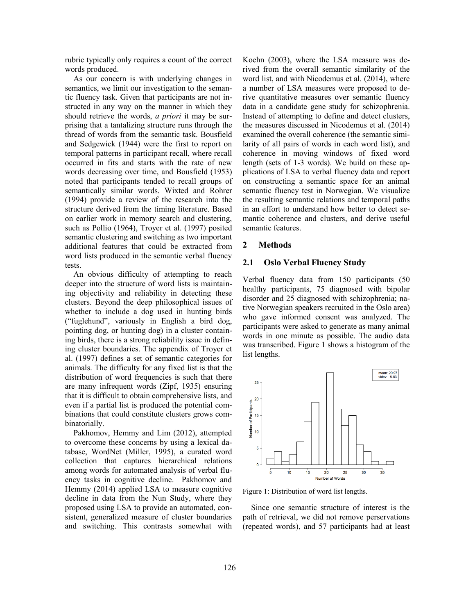rubric typically only requires a count of the correct words produced.

As our concern is with underlying changes in semantics, we limit our investigation to the semantic fluency task. Given that participants are not instructed in any way on the manner in which they should retrieve the words, *a priori* it may be surprising that a tantalizing structure runs through the thread of words from the semantic task. Bousfield and Sedgewick (1944) were the first to report on temporal patterns in participant recall, where recall occurred in fits and starts with the rate of new words decreasing over time, and Bousfield (1953) noted that participants tended to recall groups of semantically similar words. Wixted and Rohrer (1994) provide a review of the research into the structure derived from the timing literature. Based on earlier work in memory search and clustering, such as Pollio (1964), Troyer et al. (1997) posited semantic clustering and switching as two important additional features that could be extracted from word lists produced in the semantic verbal fluency tests.

An obvious difficulty of attempting to reach deeper into the structure of word lists is maintaining objectivity and reliability in detecting these clusters. Beyond the deep philosophical issues of whether to include a dog used in hunting birds ("fuglehund", variously in English a bird dog, pointing dog, or hunting dog) in a cluster containing birds, there is a strong reliability issue in defining cluster boundaries. The appendix of Troyer et al. (1997) defines a set of semantic categories for animals. The difficulty for any fixed list is that the distribution of word frequencies is such that there are many infrequent words (Zipf, 1935) ensuring that it is difficult to obtain comprehensive lists, and even if a partial list is produced the potential combinations that could constitute clusters grows combinatorially.

Pakhomov, Hemmy and Lim (2012), attempted to overcome these concerns by using a lexical database, WordNet (Miller, 1995), a curated word collection that captures hierarchical relations among words for automated analysis of verbal fluency tasks in cognitive decline. Pakhomov and Hemmy (2014) applied LSA to measure cognitive decline in data from the Nun Study, where they proposed using LSA to provide an automated, consistent, generalized measure of cluster boundaries and switching. This contrasts somewhat with Koehn (2003), where the LSA measure was derived from the overall semantic similarity of the word list, and with Nicodemus et al. (2014), where a number of LSA measures were proposed to derive quantitative measures over semantic fluency data in a candidate gene study for schizophrenia. Instead of attempting to define and detect clusters, the measures discussed in Nicodemus et al. (2014) examined the overall coherence (the semantic similarity of all pairs of words in each word list), and coherence in moving windows of fixed word length (sets of 1-3 words). We build on these applications of LSA to verbal fluency data and report on constructing a semantic space for an animal semantic fluency test in Norwegian. We visualize the resulting semantic relations and temporal paths in an effort to understand how better to detect semantic coherence and clusters, and derive useful semantic features.

## **2 Methods**

# **2.1 Oslo Verbal Fluency Study**

Verbal fluency data from 150 participants (50 healthy participants, 75 diagnosed with bipolar disorder and 25 diagnosed with schizophrenia; native Norwegian speakers recruited in the Oslo area) who gave informed consent was analyzed. The participants were asked to generate as many animal words in one minute as possible. The audio data was transcribed. Figure 1 shows a histogram of the list lengths.



Figure 1: Distribution of word list lengths.

Since one semantic structure of interest is the path of retrieval, we did not remove perservations (repeated words), and 57 participants had at least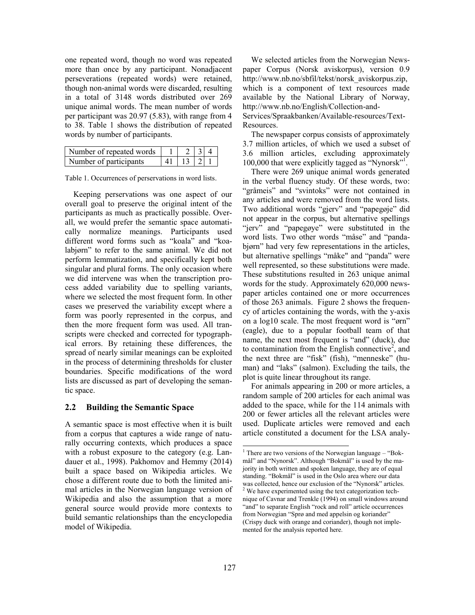one repeated word, though no word was repeated more than once by any participant. Nonadjacent perseverations (repeated words) were retained, though non-animal words were discarded, resulting in a total of 3148 words distributed over 269 unique animal words. The mean number of words per participant was 20.97 (5.83), with range from 4 to 38. Table 1 shows the distribution of repeated words by number of participants.

| Number of repeated words | 2 3 4               |  |
|--------------------------|---------------------|--|
| Number of participants   | $41 \mid 13 \mid 2$ |  |

Table 1. Occurrences of perservations in word lists.

Keeping perservations was one aspect of our overall goal to preserve the original intent of the participants as much as practically possible. Overall, we would prefer the semantic space automatically normalize meanings. Participants used different word forms such as "koala" and "koalabjørn" to refer to the same animal. We did not perform lemmatization, and specifically kept both singular and plural forms. The only occasion where we did intervene was when the transcription process added variability due to spelling variants, where we selected the most frequent form. In other cases we preserved the variability except where a form was poorly represented in the corpus, and then the more frequent form was used. All transcripts were checked and corrected for typographical errors. By retaining these differences, the spread of nearly similar meanings can be exploited in the process of determining thresholds for cluster boundaries. Specific modifications of the word lists are discussed as part of developing the semantic space.

#### **2.2 Building the Semantic Space**

A semantic space is most effective when it is built from a corpus that captures a wide range of naturally occurring contexts, which produces a space with a robust exposure to the category (e.g. Landauer et al., 1998). Pakhomov and Hemmy (2014) built a space based on Wikipedia articles. We chose a different route due to both the limited animal articles in the Norwegian language version of Wikipedia and also the assumption that a more general source would provide more contexts to build semantic relationships than the encyclopedia model of Wikipedia.

We selected articles from the Norwegian Newspaper Corpus (Norsk aviskorpus), version 0.9 http://www.nb.no/sbfil/tekst/norsk\_aviskorpus.zip, which is a component of text resources made available by the National Library of Norway, http://www.nb.no/English/Collection-and-Services/Spraakbanken/Available-resources/Text-Resources.

The newspaper corpus consists of approximately 3.7 million articles, of which we used a subset of 3.6 million articles, excluding approximately 100,000 that were explicitly tagged as "Nynorsk"<sup>1</sup>.

There were 269 unique animal words generated in the verbal fluency study. Of these words, two: "gråmeis" and "svintoks" were not contained in any articles and were removed from the word lists. Two additional words "gjerv" and "papegøje" did not appear in the corpus, but alternative spellings "jerv" and "papegøye" were substituted in the word lists. Two other words "måse" and "pandabjørn" had very few representations in the articles, but alternative spellings "måke" and "panda" were well represented, so these substitutions were made. These substitutions resulted in 263 unique animal words for the study. Approximately 620,000 newspaper articles contained one or more occurrences of those 263 animals. Figure 2 shows the frequency of articles containing the words, with the y-axis on a log10 scale. The most frequent word is "ørn" (eagle), due to a popular football team of that name, the next most frequent is "and" (duck), due to contamination from the English connective<sup>2</sup>, and the next three are "fisk" (fish), "menneske" (human) and "laks" (salmon). Excluding the tails, the plot is quite linear throughout its range.

For animals appearing in 200 or more articles, a random sample of 200 articles for each animal was added to the space, while for the 114 animals with 200 or fewer articles all the relevant articles were used. Duplicate articles were removed and each article constituted a document for the LSA analy-

l

<sup>&</sup>lt;sup>1</sup> There are two versions of the Norwegian language – "Bokmål" and "Nynorsk". Although "Bokmål" is used by the majority in both written and spoken language, they are of equal standing. "Bokmål" is used in the Oslo area where our data was collected, hence our exclusion of the "Nynorsk" articles. <sup>2</sup> We have experimented using the text categorization technique of Cavnar and Trenkle (1994) on small windows around "and" to separate English "rock and roll" article occurrences from Norwegian "Sprø and med appelsin og koriander" (Crispy duck with orange and coriander), though not implemented for the analysis reported here.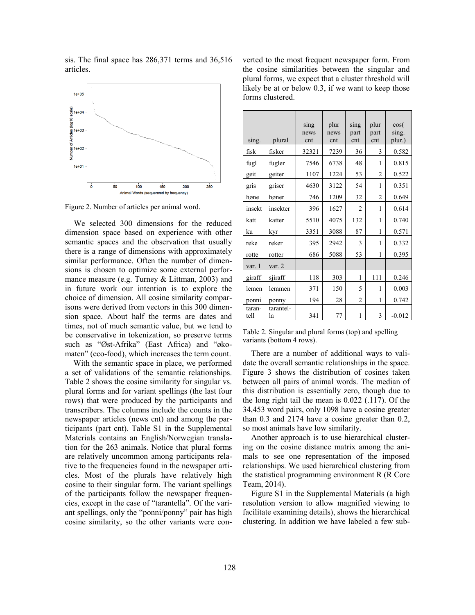sis. The final space has 286,371 terms and 36,516 articles.



Figure 2. Number of articles per animal word.

We selected 300 dimensions for the reduced dimension space based on experience with other semantic spaces and the observation that usually there is a range of dimensions with approximately similar performance. Often the number of dimensions is chosen to optimize some external performance measure (e.g. Turney & Littman, 2003) and in future work our intention is to explore the choice of dimension. All cosine similarity comparisons were derived from vectors in this 300 dimension space. About half the terms are dates and times, not of much semantic value, but we tend to be conservative in tokenization, so preserve terms such as "Øst-Afrika" (East Africa) and "økomaten" (eco-food), which increases the term count.

With the semantic space in place, we performed a set of validations of the semantic relationships. Table 2 shows the cosine similarity for singular vs. plural forms and for variant spellings (the last four rows) that were produced by the participants and transcribers. The columns include the counts in the newspaper articles (news cnt) and among the participants (part cnt). Table S1 in the Supplemental Materials contains an English/Norwegian translation for the 263 animals. Notice that plural forms are relatively uncommon among participants relative to the frequencies found in the newspaper articles. Most of the plurals have relatively high cosine to their singular form. The variant spellings of the participants follow the newspaper frequencies, except in the case of "tarantella". Of the variant spellings, only the "ponni/ponny" pair has high cosine similarity, so the other variants were con-

verted to the most frequent newspaper form. From the cosine similarities between the singular and plural forms, we expect that a cluster threshold will likely be at or below 0.3, if we want to keep those forms clustered.

| sing.          | plural          | sing<br>news<br>cnt | plur<br>news<br>cnt | sing<br>part<br>cnt | plur<br>part<br>cnt | $\cos($<br>sing.<br>plur.) |  |
|----------------|-----------------|---------------------|---------------------|---------------------|---------------------|----------------------------|--|
| fisk           | fisker          | 32321               | 7239                | 36                  | 3                   | 0.582                      |  |
| fugl           | fugler          | 7546                | 6738                | 48                  | 1                   | 0.815                      |  |
| geit           | geiter          | 1107                | 1224                | 53                  | $\overline{c}$      | 0.522                      |  |
| gris           | griser          | 4630                | 3122                | 54                  | 1                   | 0.351                      |  |
| høne           | høner           | 746                 | 1209                | 32                  | $\overline{2}$      | 0.649                      |  |
| insekt         | insekter        | 396                 | 1627                | $\overline{2}$      | 1                   | 0.614                      |  |
| katt           | katter          | 5510                | 4075                | 132                 | 1                   | 0.740                      |  |
| ku             | kyr             | 3351                | 3088                | 87                  | 1                   | 0.571                      |  |
| reke           | reker           | 395                 | 2942                | 3                   | 1                   | 0.332                      |  |
| rotte          | rotter          | 686                 | 5088                | 53                  | 1                   | 0.395                      |  |
| var. 1         | var. 2          |                     |                     |                     |                     |                            |  |
| giraff         | sjiraff         | 118                 | 303                 | 1                   | 111                 | 0.246                      |  |
| lemen          | lemmen          | 371                 | 150                 | 5                   | 1                   | 0.003                      |  |
| ponni          | ponny           | 194                 | 28                  | $\overline{2}$      | 1                   | 0.742                      |  |
| taran-<br>tell | tarantel-<br>la | 341                 | 77                  | 1                   | 3                   | $-0.012$                   |  |

Table 2. Singular and plural forms (top) and spelling variants (bottom 4 rows).

There are a number of additional ways to validate the overall semantic relationships in the space. Figure 3 shows the distribution of cosines taken between all pairs of animal words. The median of this distribution is essentially zero, though due to the long right tail the mean is 0.022 (.117). Of the 34,453 word pairs, only 1098 have a cosine greater than 0.3 and 2174 have a cosine greater than 0.2, so most animals have low similarity.

Another approach is to use hierarchical clustering on the cosine distance matrix among the animals to see one representation of the imposed relationships. We used hierarchical clustering from the statistical programming environment R (R Core Team, 2014).

Figure S1 in the Supplemental Materials (a high resolution version to allow magnified viewing to facilitate examining details), shows the hierarchical clustering. In addition we have labeled a few sub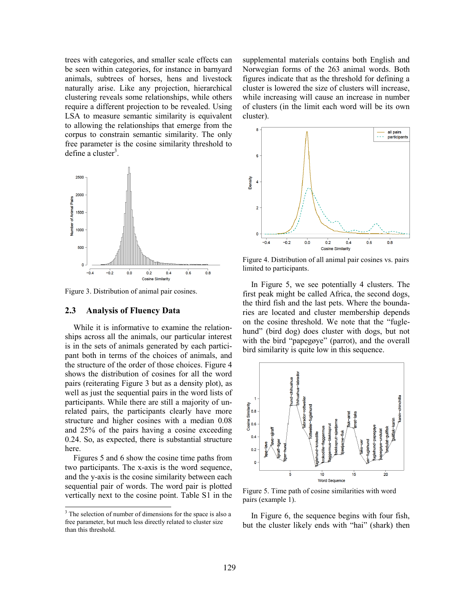trees with categories, and smaller scale effects can be seen within categories, for instance in barnyard animals, subtrees of horses, hens and livestock naturally arise. Like any projection, hierarchical clustering reveals some relationships, while others require a different projection to be revealed. Using LSA to measure semantic similarity is equivalent to allowing the relationships that emerge from the corpus to constrain semantic similarity. The only free parameter is the cosine similarity threshold to define a cluster<sup>3</sup>.



Figure 3. Distribution of animal pair cosines.

#### **2.3 Analysis of Fluency Data**

While it is informative to examine the relationships across all the animals, our particular interest is in the sets of animals generated by each participant both in terms of the choices of animals, and the structure of the order of those choices. Figure 4 shows the distribution of cosines for all the word pairs (reiterating Figure 3 but as a density plot), as well as just the sequential pairs in the word lists of participants. While there are still a majority of unrelated pairs, the participants clearly have more structure and higher cosines with a median 0.08 and 25% of the pairs having a cosine exceeding 0.24. So, as expected, there is substantial structure here.

Figures 5 and 6 show the cosine time paths from two participants. The x-axis is the word sequence, and the y-axis is the cosine similarity between each sequential pair of words. The word pair is plotted vertically next to the cosine point. Table S1 in the

l

supplemental materials contains both English and Norwegian forms of the 263 animal words. Both figures indicate that as the threshold for defining a cluster is lowered the size of clusters will increase, while increasing will cause an increase in number of clusters (in the limit each word will be its own cluster).



Figure 4. Distribution of all animal pair cosines vs. pairs limited to participants.

In Figure 5, we see potentially 4 clusters. The first peak might be called Africa, the second dogs, the third fish and the last pets. Where the boundaries are located and cluster membership depends on the cosine threshold. We note that the "fuglehund" (bird dog) does cluster with dogs, but not with the bird "papegøye" (parrot), and the overall bird similarity is quite low in this sequence.



Figure 5. Time path of cosine similarities with word pairs (example 1).

In Figure 6, the sequence begins with four fish, but the cluster likely ends with "hai" (shark) then

<sup>&</sup>lt;sup>3</sup> The selection of number of dimensions for the space is also a free parameter, but much less directly related to cluster size than this threshold.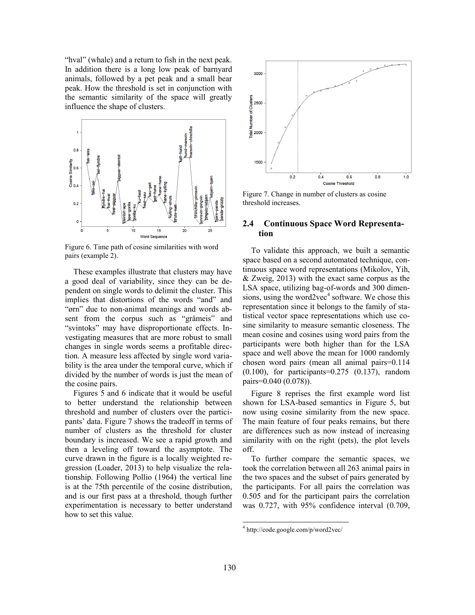"hval" (whale) and a return to fish in the next peak. In addition there is a long low peak of barnyard animals, followed by a pet peak and a small bear peak. How the threshold is set in conjunction with the semantic similarity of the space will greatly influence the shape of clusters.



Figure 6. Time path of cosine similarities with word pairs (example 2).

These examples illustrate that clusters may have a good deal of variability, since they can be dependent on single words to delimit the cluster. This implies that distortions of the words "and" and "ørn" due to non-animal meanings and words absent from the corpus such as "gråmeis" and "svintoks" may have disproportionate effects. Investigating measures that are more robust to small changes in single words seems a profitable direction. A measure less affected by single word variability is the area under the temporal curve, which if divided by the number of words is just the mean of the cosine pairs.

Figures 5 and 6 indicate that it would be useful to better understand the relationship between threshold and number of clusters over the participants' data. Figure 7 shows the tradeoff in terms of number of clusters as the threshold for cluster boundary is increased. We see a rapid growth and then a leveling off toward the asymptote. The curve drawn in the figure is a locally weighted regression (Loader, 2013) to help visualize the relationship. Following Pollio (1964) the vertical line is at the 75th percentile of the cosine distribution, and is our first pass at a threshold, though further experimentation is necessary to better understand how to set this value.



Figure 7. Change in number of clusters as cosine threshold increases.

# **2.4 Continuous Space Word Representation**

To validate this approach, we built a semantic space based on a second automated technique, continuous space word representations (Mikolov, Yih, & Zweig, 2013) with the exact same corpus as the LSA space, utilizing bag-of-words and 300 dimensions, using the word2vec $4$  software. We chose this representation since it belongs to the family of statistical vector space representations which use cosine similarity to measure semantic closeness. The mean cosine and cosines using word pairs from the participants were both higher than for the LSA space and well above the mean for 1000 randomly chosen word pairs (mean all animal pairs=0.114 (0.100), for participants=0.275 (0.137), random pairs=0.040 (0.078)).

Figure 8 reprises the first example word list shown for LSA-based semantics in Figure 5, but now using cosine similarity from the new space. The main feature of four peaks remains, but there are differences such as now instead of increasing similarity with on the right (pets), the plot levels off.

To further compare the semantic spaces, we took the correlation between all 263 animal pairs in the two spaces and the subset of pairs generated by the participants. For all pairs the correlation was 0.505 and for the participant pairs the correlation was 0.727, with 95% confidence interval (0.709,

 4 http://code.google.com/p/word2vec/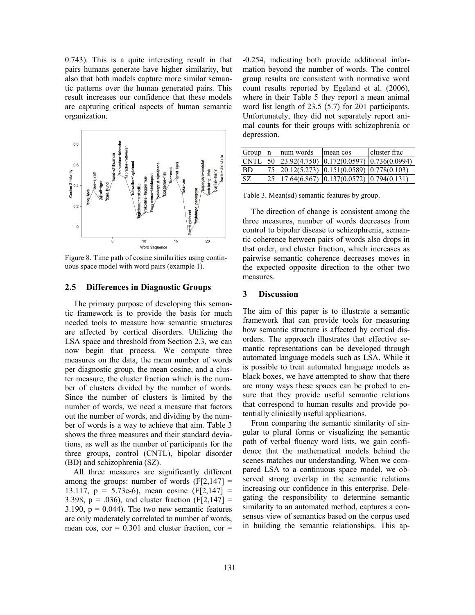0.743). This is a quite interesting result in that pairs humans generate have higher similarity, but also that both models capture more similar semantic patterns over the human generated pairs. This result increases our confidence that these models are capturing critical aspects of human semantic organization.



Figure 8. Time path of cosine similarities using continuous space model with word pairs (example 1).

## **2.5 Differences in Diagnostic Groups**

The primary purpose of developing this semantic framework is to provide the basis for much needed tools to measure how semantic structures are affected by cortical disorders. Utilizing the LSA space and threshold from Section 2.3, we can now begin that process. We compute three measures on the data, the mean number of words per diagnostic group, the mean cosine, and a cluster measure, the cluster fraction which is the number of clusters divided by the number of words. Since the number of clusters is limited by the number of words, we need a measure that factors out the number of words, and dividing by the number of words is a way to achieve that aim. Table 3 shows the three measures and their standard deviations, as well as the number of participants for the three groups, control (CNTL), bipolar disorder (BD) and schizophrenia (SZ).

All three measures are significantly different among the groups: number of words  $(F[2,147] =$ 13.117,  $p = 5.73e-6$ , mean cosine (F[2,147] = 3.398,  $p = .036$ ), and cluster fraction (F[2,147] = 3.190,  $p = 0.044$ ). The two new semantic features are only moderately correlated to number of words, mean cos,  $cor = 0.301$  and cluster fraction,  $cor =$ 

-0.254, indicating both provide additional information beyond the number of words. The control group results are consistent with normative word count results reported by Egeland et al. (2006), where in their Table 5 they report a mean animal word list length of 23.5 (5.7) for 201 participants. Unfortunately, they did not separately report animal counts for their groups with schizophrenia or depression.

| Group       | $\ln$ | num words | mean cos                                                                      | cluster frac |
|-------------|-------|-----------|-------------------------------------------------------------------------------|--------------|
| <b>CNTL</b> |       |           | $\vert$ 50 $\vert$ 23.92(4.750) $\vert$ 0.172(0.0597) $\vert$ 0.736(0.0994)   |              |
| <b>BD</b>   |       |           | $\vert 75 \vert 20.12(5.273) \vert 0.151(0.0589) \vert 0.778(0.103)$          |              |
| SZ.         |       |           | $\left  25 \right $ 17.64(6.867) $\left  0.137(0.0572) \right $ (0.794(0.131) |              |

Table 3. Mean(sd) semantic features by group.

The direction of change is consistent among the three measures, number of words decreases from control to bipolar disease to schizophrenia, semantic coherence between pairs of words also drops in that order, and cluster fraction, which increases as pairwise semantic coherence decreases moves in the expected opposite direction to the other two measures.

# **3 Discussion**

The aim of this paper is to illustrate a semantic framework that can provide tools for measuring how semantic structure is affected by cortical disorders. The approach illustrates that effective semantic representations can be developed through automated language models such as LSA. While it is possible to treat automated language models as black boxes, we have attempted to show that there are many ways these spaces can be probed to ensure that they provide useful semantic relations that correspond to human results and provide potentially clinically useful applications.

From comparing the semantic similarity of singular to plural forms or visualizing the semantic path of verbal fluency word lists, we gain confidence that the mathematical models behind the scenes matches our understanding. When we compared LSA to a continuous space model, we observed strong overlap in the semantic relations increasing our confidence in this enterprise. Delegating the responsibility to determine semantic similarity to an automated method, captures a consensus view of semantics based on the corpus used in building the semantic relationships. This ap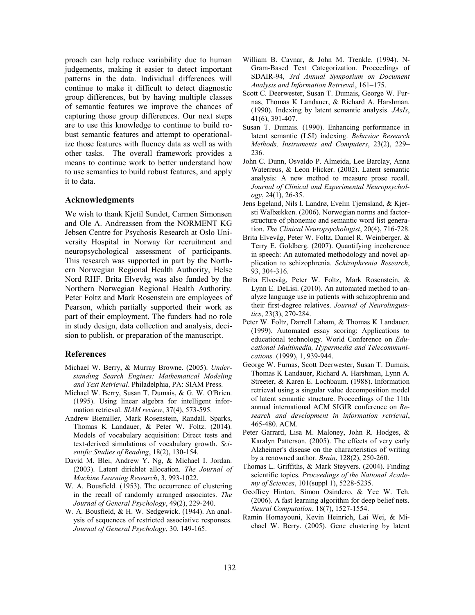proach can help reduce variability due to human judgements, making it easier to detect important patterns in the data. Individual differences will continue to make it difficult to detect diagnostic group differences, but by having multiple classes of semantic features we improve the chances of capturing those group differences. Our next steps are to use this knowledge to continue to build robust semantic features and attempt to operationalize those features with fluency data as well as with other tasks. The overall framework provides a means to continue work to better understand how to use semantics to build robust features, and apply it to data.

#### **Acknowledgments**

We wish to thank Kjetil Sundet, Carmen Simonsen and Ole A. Andreassen from the NORMENT KG Jebsen Centre for Psychosis Research at Oslo University Hospital in Norway for recruitment and neuropsychological assessment of participants. This research was supported in part by the Northern Norwegian Regional Health Authority, Helse Nord RHF. Brita Elvevåg was also funded by the Northern Norwegian Regional Health Authority. Peter Foltz and Mark Rosenstein are employees of Pearson, which partially supported their work as part of their employment. The funders had no role in study design, data collection and analysis, decision to publish, or preparation of the manuscript.

#### **References**

- Michael W. Berry, & Murray Browne. (2005). *Understanding Search Engines: Mathematical Modeling and Text Retrieval*. Philadelphia, PA: SIAM Press.
- Michael W. Berry, Susan T. Dumais, & G. W. O'Brien. (1995). Using linear algebra for intelligent information retrieval. *SIAM review*, 37(4), 573-595.
- Andrew Biemiller, Mark Rosenstein, Randall. Sparks, Thomas K Landauer, & Peter W. Foltz. (2014). Models of vocabulary acquisition: Direct tests and text-derived simulations of vocabulary growth. *Scientific Studies of Reading*, 18(2), 130-154.
- David M. Blei, Andrew Y. Ng, & Michael I. Jordan. (2003). Latent dirichlet allocation. *The Journal of Machine Learning Research*, 3, 993-1022.
- W. A. Bousfield. (1953). The occurrence of clustering in the recall of randomly arranged associates. *The Journal of General Psychology*, 49(2), 229-240.
- W. A. Bousfield, & H. W. Sedgewick. (1944). An analysis of sequences of restricted associative responses. *Journal of General Psychology*, 30, 149-165.
- William B. Cavnar, & John M. Trenkle. (1994). N-Gram-Based Text Categorization. Proceedings of SDAIR-94*, 3rd Annual Symposium on Document Analysis and Information Retrieva*l, 161–175.
- Scott C. Deerwester, Susan T. Dumais, George W. Furnas, Thomas K Landauer, & Richard A. Harshman. (1990). Indexing by latent semantic analysis. *JAsIs*, 41(6), 391-407.
- Susan T. Dumais. (1990). Enhancing performance in latent semantic (LSI) indexing. *Behavior Research Methods, Instruments and Computers*, 23(2), 229– 236.
- John C. Dunn, Osvaldo P. Almeida, Lee Barclay, Anna Waterreus, & Leon Flicker. (2002). Latent semantic analysis: A new method to measure prose recall. *Journal of Clinical and Experimental Neuropsychology*, 24(1), 26-35.
- Jens Egeland, Nils I. Landrø, Evelin Tjemsland, & Kjersti Walbækken. (2006). Norwegian norms and factorstructure of phonemic and semantic word list generation. *The Clinical Neuropsychologist*, 20(4), 716-728.
- Brita Elvevåg, Peter W. Foltz, Daniel R. Weinberger, & Terry E. Goldberg. (2007). Quantifying incoherence in speech: An automated methodology and novel application to schizophrenia. *Schizophrenia Research*, 93, 304-316.
- Brita Elvevåg, Peter W. Foltz, Mark Rosenstein, & Lynn E. DeLisi. (2010). An automated method to analyze language use in patients with schizophrenia and their first-degree relatives. *Journal of Neurolinguistics*, 23(3), 270-284.
- Peter W. Foltz, Darrell Laham, & Thomas K Landauer. (1999). Automated essay scoring: Applications to educational technology. World Conference on *Educational Multimedia, Hypermedia and Telecommunications.* (1999), 1, 939-944.
- George W. Furnas, Scott Deerwester, Susan T. Dumais, Thomas K Landauer, Richard A. Harshman, Lynn A. Streeter, & Karen E. Lochbaum. (1988). Information retrieval using a singular value decomposition model of latent semantic structure. Proceedings of the 11th annual international ACM SIGIR conference on *Research and development in information retrieval*, 465-480. ACM.
- Peter Garrard, Lisa M. Maloney, John R. Hodges, & Karalyn Patterson. (2005). The effects of very early Alzheimer's disease on the characteristics of writing by a renowned author. *Brain*, 128(2), 250-260.
- Thomas L. Griffiths, & Mark Steyvers. (2004). Finding scientific topics. *Proceedings of the National Academy of Sciences*, 101(suppl 1), 5228-5235.
- Geoffrey Hinton, Simon Osindero, & Yee W. Teh. (2006). A fast learning algorithm for deep belief nets. *Neural Computation*, 18(7), 1527-1554.
- Ramin Homayouni, Kevin Heinrich, Lai Wei, & Michael W. Berry. (2005). Gene clustering by latent